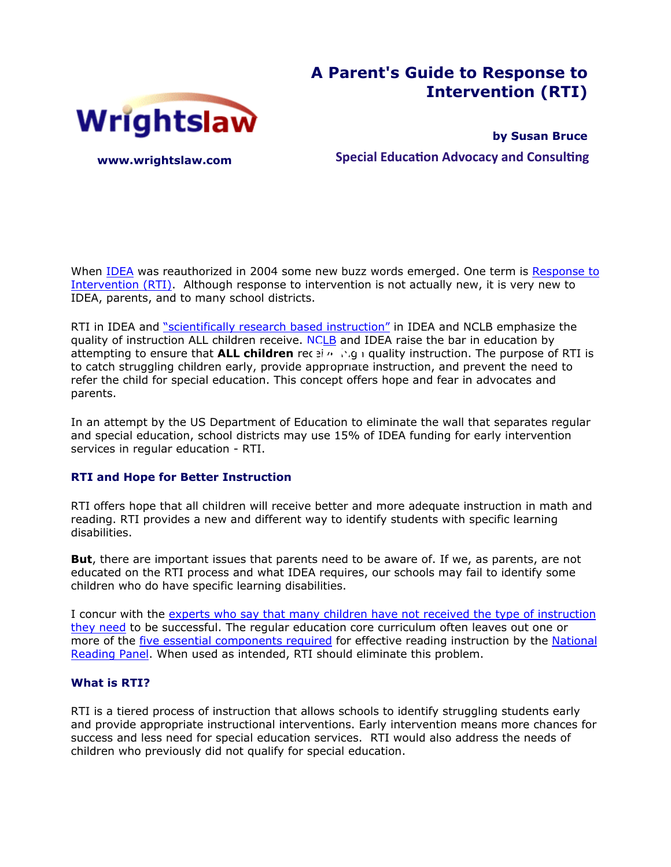

# **A Parent's Guide to Response to Intervention (RTI)**

**by Susan Bruce Special Education Advocacy and Consulting** 

When [IDEA](http://www.wrightslaw.com/idea/index.htm) was reauthorized in 2004 some new buzz words emerged. One term is Response to [Intervention \(RTI\).](http://www.wrightslaw.com/info/rti.index.htm) Although response to intervention is not actually new, it is very new to IDEA, parents, and to many school districts.

RTI in IDEA and ["scientifically research based instruction"](http://www.wrightslaw.com/nclb/rbi.htm) in IDEA and NCLB emphasize the quality of instruction ALL children receive. [NCLB](http://www.wrightslaw.com/nclb/index.htm) and IDEA raise the bar in education by attempting to ensure that **ALL children** receive high quality instruction. The purpose of RTI is to catch struggling children early, provide appropriate instruction, and prevent the need to refer the child for special education. This concept offers hope and fear in advocates and parents. **Special Education Advocacy and Consulting**<br> **EXECUTE:**<br> **TEXT CONSECUTE:**<br> **TEXT CONSECUTE:**<br> **TEXT CONSECUTE:**<br> **TEXT CONSECUTE:**<br> **TEXT CONSECUTE:**<br> **TEXT:**<br> **TEXT:**<br> **TEXT:**<br> **TEXT:**<br> **TEXT:**<br> **TEXT:**<br> **TEXT:**<br> **TEXT:** 

In an attempt by the US Department of Education to eliminate the wall that separates regular and special education, school districts may use 15% of IDEA funding for early intervention services in regular education - RTI.

#### **RTI and Hope for Better Instruction**

RTI offers hope that all children will receive better and more adequate instruction in math and reading. RTI provides a new and different way to identify students with specific learning disabilities.

**But**, there are important issues that parents need to be aware of. If we, as parents, are not educated on the RTI process and what IDEA requires, our schools may fail to identify some children who do have specific learning disabilities.

I concur with the experts who say that many children have not received the type of instruction [they need](file:///Users/harborhouseapple2/Documents/0%20Sue%20datafiles/websites/wrightslaw/info/art) to be successful. The regular education core curriculum often leaves out one or more of the [five essential components required](http://www.nichd.nih.gov/publications/nrp/findings.cfm) for effective reading instruction by the [National](http://www.nationalreadingpanel.org/) [Reading Panel.](http://www.nationalreadingpanel.org/) When used as intended, RTI should eliminate this problem.

#### **What is RTI?**

RTI is a tiered process of instruction that allows schools to identify struggling students early and provide appropriate instructional interventions. Early intervention means more chances for success and less need for special education services. RTI would also address the needs of children who previously did not qualify for special education.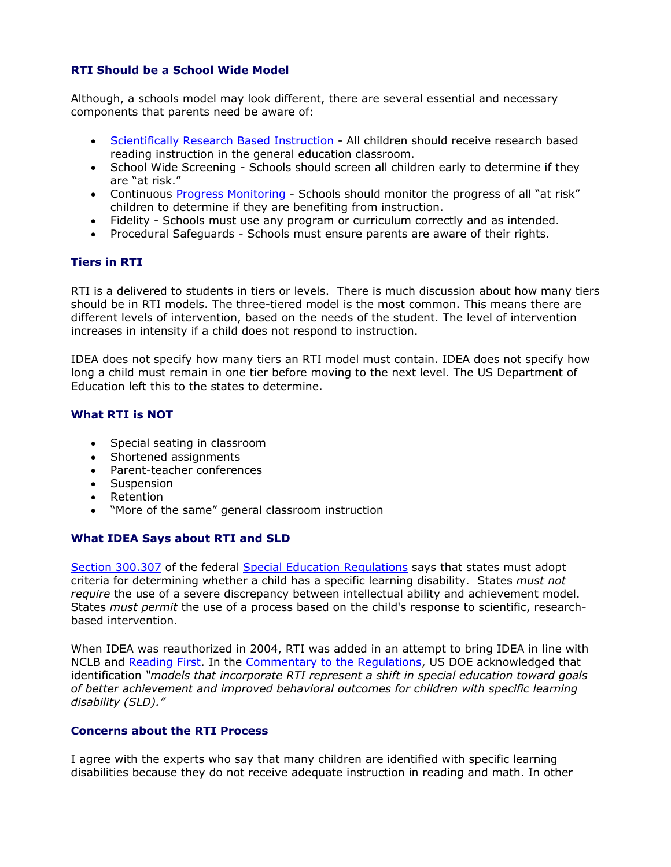## **RTI Should be a School Wide Model**

Although, a schools model may look different, there are several essential and necessary components that parents need be aware of:

- [Scientifically Research Based Instruction](http://www.wrightslaw.com/nclb/rbi.htm)  All children should receive research based reading instruction in the general education classroom.
- School Wide Screening Schools should screen all children early to determine if they are "at risk."
- Continuous [Progress Monitoring](http://www.studentprogress.org/default.asp)  Schools should monitor the progress of all "at risk" children to determine if they are benefiting from instruction.
- Fidelity Schools must use any program or curriculum correctly and as intended.
- Procedural Safeguards Schools must ensure parents are aware of their rights.

## **Tiers in RTI**

RTI is a delivered to students in tiers or levels. There is much discussion about how many tiers should be in RTI models. The three-tiered model is the most common. This means there are different levels of intervention, based on the needs of the student. The level of intervention increases in intensity if a child does not respond to instruction.

IDEA does not specify how many tiers an RTI model must contain. IDEA does not specify how long a child must remain in one tier before moving to the next level. The US Department of Education left this to the states to determine.

## **What RTI is NOT**

- Special seating in classroom
- Shortened assignments
- Parent-teacher conferences
- Suspension
- **Retention**
- "More of the same" general classroom instruction

## **What IDEA Says about RTI and SLD**

[Section 300.307](http://www.wrightslaw.com/idea/law/idea.regs.subpartd.pdf) of the federal [Special Education Regulations](http://www.wrightslaw.com/idea/law.htm) says that states must adopt criteria for determining whether a child has a specific learning disability. States *must not require* the use of a severe discrepancy between intellectual ability and achievement model. States *must permit* the use of a process based on the child's response to scientific, researchbased intervention.

When IDEA was reauthorized in 2004, RTI was added in an attempt to bring IDEA in line with NCLB and [Reading First](http://www.ed.gov/programs/readingfirst/index.html). In the [Commentary to the Regulations,](http://www.wrightslaw.com/idea/commentary.htm) US DOE acknowledged that identification *"models that incorporate RTI represent a shift in special education toward goals of better achievement and improved behavioral outcomes for children with specific learning disability (SLD)."*

### **Concerns about the RTI Process**

I agree with the experts who say that many children are identified with specific learning disabilities because they do not receive adequate instruction in reading and math. In other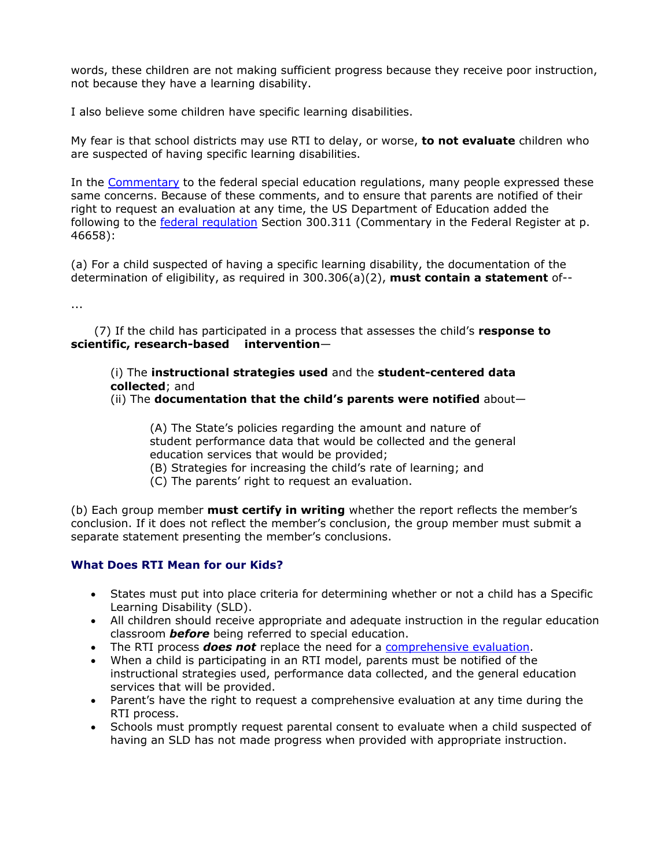words, these children are not making sufficient progress because they receive poor instruction, not because they have a learning disability.

I also believe some children have specific learning disabilities.

My fear is that school districts may use RTI to delay, or worse, **to not evaluate** children who are suspected of having specific learning disabilities.

In the [Commentary](http://www.wrightslaw.com/idea/commentary.htm) to the federal special education regulations, many people expressed these same concerns. Because of these comments, and to ensure that parents are notified of their right to request an evaluation at any time, the US Department of Education added the following to the [federal regulation](http://www.wrightslaw.com/idea/comment/46629-46661.reg.300-311.evals.pdf) Section 300.311 (Commentary in the Federal Register at p. 46658):

(a) For a child suspected of having a specific learning disability, the documentation of the determination of eligibility, as required in 300.306(a)(2), **must contain a statement** of--

...

 (7) If the child has participated in a process that assesses the child's **response to scientific, research-based intervention**—

## (i) The **instructional strategies used** and the **student-centered data collected**; and

(ii) The **documentation that the child's parents were notified** about—

(A) The State's policies regarding the amount and nature of student performance data that would be collected and the general education services that would be provided;

(B) Strategies for increasing the child's rate of learning; and

(C) The parents' right to request an evaluation.

(b) Each group member **must certify in writing** whether the report reflects the member's conclusion. If it does not reflect the member's conclusion, the group member must submit a separate statement presenting the member's conclusions.

## **What Does RTI Mean for our Kids?**

- States must put into place criteria for determining whether or not a child has a Specific Learning Disability (SLD).
- All children should receive appropriate and adequate instruction in the regular education classroom *before* being referred to special education.
- The RTI process *does not* replace the need for a [comprehensive evaluation](http://www.wrightslaw.com/info/test.index.htm).
- When a child is participating in an RTI model, parents must be notified of the instructional strategies used, performance data collected, and the general education services that will be provided.
- Parent's have the right to request a comprehensive evaluation at any time during the RTI process.
- Schools must promptly request parental consent to evaluate when a child suspected of having an SLD has not made progress when provided with appropriate instruction.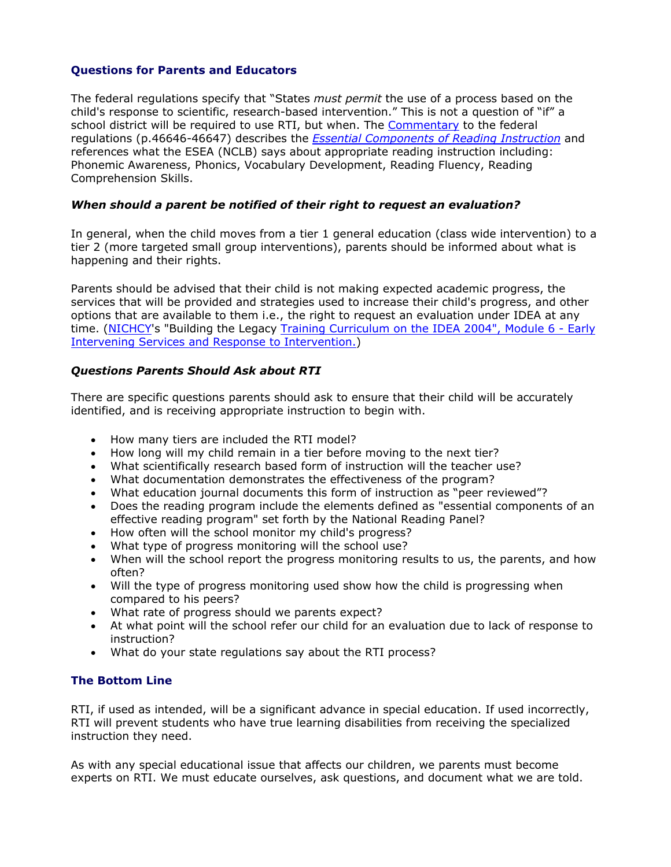## **Questions for Parents and Educators**

The federal regulations specify that "States *must permit* the use of a process based on the child's response to scientific, research-based intervention." This is not a question of "if" a school district will be required to use RTI, but when. The [Commentary](http://www.wrightslaw.com/idea/comment/46629-46661.reg.300-311.evals.pdf) to the federal regulations (p.46646-46647) describes the *[Essential Components of Reading Instruction](file:///Users/harborhouseapple2/Documents/0%20Sue%20datafiles/websites/wrightslaw/info/components)* and references what the ESEA (NCLB) says about appropriate reading instruction including: Phonemic Awareness, Phonics, Vocabulary Development, Reading Fluency, Reading Comprehension Skills.

### *When should a parent be notified of their right to request an evaluation?*

In general, when the child moves from a tier 1 general education (class wide intervention) to a tier 2 (more targeted small group interventions), parents should be informed about what is happening and their rights.

Parents should be advised that their child is not making expected academic progress, the services that will be provided and strategies used to increase their child's progress, and other options that are available to them i.e., the right to request an evaluation under IDEA at any time. ([NICHCY](http://www.nichcy.org/)'s "Building the Legacy [Training Curriculum on the IDEA 2004", Module 6 - Early](http://www.wrightslaw.com/info/rti.eis.nichcy.pdf)  [Intervening Services and Response to Intervention.](http://www.wrightslaw.com/info/rti.eis.nichcy.pdf))

#### *Questions Parents Should Ask about RTI*

There are specific questions parents should ask to ensure that their child will be accurately identified, and is receiving appropriate instruction to begin with.

- How many tiers are included the RTI model?
- How long will my child remain in a tier before moving to the next tier?
- What scientifically research based form of instruction will the teacher use?<br>• What documentation demonstrates the effectiveness of the program?
- What documentation demonstrates the effectiveness of the program?
- What education journal documents this form of instruction as "peer reviewed"?
- Does the reading program include the elements defined as "essential components of an effective reading program" set forth by the National Reading Panel?
- How often will the school monitor my child's progress?
- What type of progress monitoring will the school use?
- When will the school report the progress monitoring results to us, the parents, and how often?
- Will the type of progress monitoring used show how the child is progressing when compared to his peers?
- What rate of progress should we parents expect?
- At what point will the school refer our child for an evaluation due to lack of response to instruction?
- What do your state regulations say about the RTI process?

#### **The Bottom Line**

RTI, if used as intended, will be a significant advance in special education. If used incorrectly, RTI will prevent students who have true learning disabilities from receiving the specialized instruction they need.

As with any special educational issue that affects our children, we parents must become experts on RTI. We must educate ourselves, ask questions, and document what we are told.